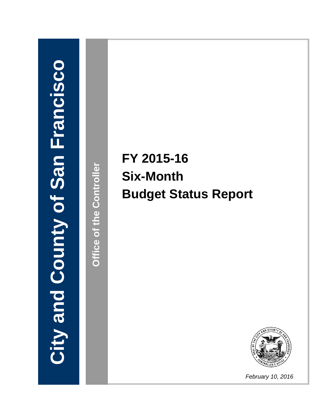# **CityandCountyofS anFranci i i i i sco**

**Offic eoftheControlle r**

# **FY 2015-16 Six-Month Budget Status Report**



*February 10, 2016*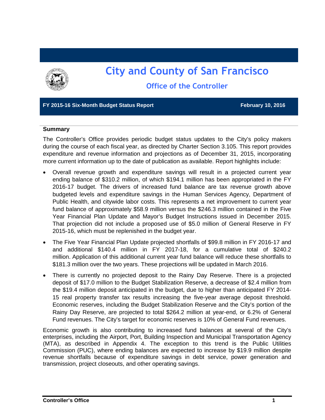

# **City and County of San Francisco Office of the Controller**

#### **FY 2015-16 Six-Month Budget Status Report February 10, 2016**

#### **Summary**

The Controller's Office provides periodic budget status updates to the City's policy makers during the course of each fiscal year, as directed by Charter Section 3.105. This report provides expenditure and revenue information and projections as of December 31, 2015, incorporating more current information up to the date of publication as available. Report highlights include:

- Overall revenue growth and expenditure savings will result in a projected current year ending balance of \$310.2 million, of which \$194.1 million has been appropriated in the FY 2016-17 budget. The drivers of increased fund balance are tax revenue growth above budgeted levels and expenditure savings in the Human Services Agency, Department of Public Health, and citywide labor costs. This represents a net improvement to current year fund balance of approximately \$58.9 million versus the \$246.3 million contained in the Five Year Financial Plan Update and Mayor's Budget Instructions issued in December 2015. That projection did not include a proposed use of \$5.0 million of General Reserve in FY 2015-16, which must be replenished in the budget year.
- The Five Year Financial Plan Update projected shortfalls of \$99.8 million in FY 2016-17 and and additional \$140.4 million in FY 2017-18, for a cumulative total of \$240.2 million. Application of this additional current year fund balance will reduce these shortfalls to \$181.3 million over the two years. These projections will be updated in March 2016.
- There is currently no projected deposit to the Rainy Day Reserve. There is a projected deposit of \$17.0 million to the Budget Stabilization Reserve, a decrease of \$2.4 million from the \$19.4 million deposit anticipated in the budget, due to higher than anticipated FY 2014- 15 real property transfer tax results increasing the five-year average deposit threshold. Economic reserves, including the Budget Stabilization Reserve and the City's portion of the Rainy Day Reserve, are projected to total \$264.2 million at year-end, or 6.2% of General Fund revenues. The City's target for economic reserves is 10% of General Fund revenues.

Economic growth is also contributing to increased fund balances at several of the City's enterprises, including the Airport, Port, Building Inspection and Municipal Transportation Agency (MTA), as described in Appendix 4. The exception to this trend is the Public Utilities Commission (PUC), where ending balances are expected to increase by \$19.9 million despite revenue shortfalls because of expenditure savings in debt service, power generation and transmission, project closeouts, and other operating savings.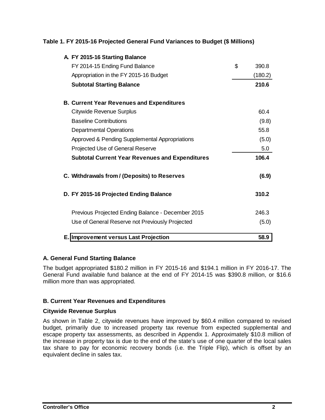#### **Table 1. FY 2015-16 Projected General Fund Variances to Budget (\$ Millions)**

| A. FY 2015-16 Starting Balance                         |             |
|--------------------------------------------------------|-------------|
| FY 2014-15 Ending Fund Balance                         | \$<br>390.8 |
| Appropriation in the FY 2015-16 Budget                 | (180.2)     |
| <b>Subtotal Starting Balance</b>                       | 210.6       |
| <b>B. Current Year Revenues and Expenditures</b>       |             |
| Citywide Revenue Surplus                               | 60.4        |
| <b>Baseline Contributions</b>                          | (9.8)       |
| <b>Departmental Operations</b>                         | 55.8        |
| Approved & Pending Supplemental Appropriations         | (5.0)       |
| Projected Use of General Reserve                       | 5.0         |
| <b>Subtotal Current Year Revenues and Expenditures</b> | 106.4       |
| C. Withdrawals from / (Deposits) to Reserves           | (6.9)       |
| D. FY 2015-16 Projected Ending Balance                 | 310.2       |
| Previous Projected Ending Balance - December 2015      | 246.3       |
| Use of General Reserve not Previously Projected        | (5.0)       |
| <b>E. Improvement versus Last Projection</b>           | 58.9        |

#### **A. General Fund Starting Balance**

The budget appropriated \$180.2 million in FY 2015-16 and \$194.1 million in FY 2016-17. The General Fund available fund balance at the end of FY 2014-15 was \$390.8 million, or \$16.6 million more than was appropriated.

#### **B. Current Year Revenues and Expenditures**

#### **Citywide Revenue Surplus**

As shown in Table 2, citywide revenues have improved by \$60.4 million compared to revised budget, primarily due to increased property tax revenue from expected supplemental and escape property tax assessments, as described in Appendix 1. Approximately \$10.8 million of the increase in property tax is due to the end of the state's use of one quarter of the local sales tax share to pay for economic recovery bonds (i.e. the Triple Flip), which is offset by an equivalent decline in sales tax.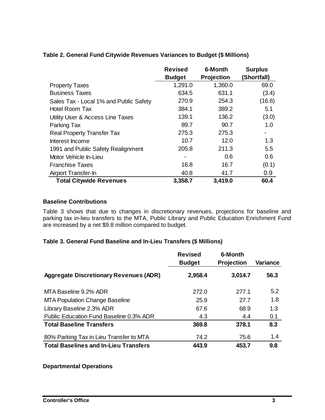|                                        | <b>Revised</b> | 6-Month           | <b>Surplus</b> |
|----------------------------------------|----------------|-------------------|----------------|
|                                        | <b>Budget</b>  | <b>Projection</b> | (Shortfall)    |
| <b>Property Taxes</b>                  | 1,291.0        | 1,360.0           | 69.0           |
| <b>Business Taxes</b>                  | 634.5          | 631.1             | (3.4)          |
| Sales Tax - Local 1% and Public Safety | 270.9          | 254.3             | (16.6)         |
| <b>Hotel Room Tax</b>                  | 384.1          | 389.2             | 5.1            |
| Utility User & Access Line Taxes       | 139.1          | 136.2             | (3.0)          |
| Parking Tax                            | 89.7           | 90.7              | 1.0            |
| <b>Real Property Transfer Tax</b>      | 275.3          | 275.3             | ۰              |
| Interest Income                        | 10.7           | 12.0              | 1.3            |
| 1991 and Public Safety Realignment     | 205.8          | 211.3             | 5.5            |
| Motor Vehicle In-Lieu                  |                | 0.6               | 0.6            |
| <b>Franchise Taxes</b>                 | 16.8           | 16.7              | (0.1)          |
| Airport Transfer-In                    | 40.8           | 41.7              | 0.9            |
| <b>Total Citywide Revenues</b>         | 3,358.7        | 3,419.0           | 60.4           |

#### **Table 2. General Fund Citywide Revenues Variances to Budget (\$ Millions)**

#### **Baseline Contributions**

Table 3 shows that due to changes in discretionary revenues, projections for baseline and parking tax in-lieu transfers to the MTA, Public Library and Public Education Enrichment Fund are increased by a net \$9.8 million compared to budget.

#### **Table 3. General Fund Baseline and In-Lieu Transfers (\$ Millions)**

|                                               | <b>Revised</b><br><b>Budget</b> | 6-Month<br><b>Projection</b> | Variance |
|-----------------------------------------------|---------------------------------|------------------------------|----------|
|                                               |                                 |                              |          |
| <b>Aggregate Discretionary Revenues (ADR)</b> | 2,958.4                         | 3,014.7                      | 56.3     |
|                                               |                                 |                              |          |
| MTA Baseline 9.2% ADR                         | 272.0                           | 277.1                        | 5.2      |
| <b>MTA Population Change Baseline</b>         | 25.9                            | 27.7                         | 1.8      |
| Library Baseline 2.3% ADR                     | 67.6                            | 68.9                         | 1.3      |
| Public Education Fund Baseline 0.3% ADR       | 4.3                             | 4.4                          | 0.1      |
| <b>Total Baseline Transfers</b>               | 369.8                           | 378.1                        | 8.3      |
| 80% Parking Tax in Lieu Transfer to MTA       | 74.2                            | 75.6                         | 1.4      |
| <b>Total Baselines and In-Lieu Transfers</b>  | 443.9                           | 453.7                        | 9.8      |

#### **Departmental Operations**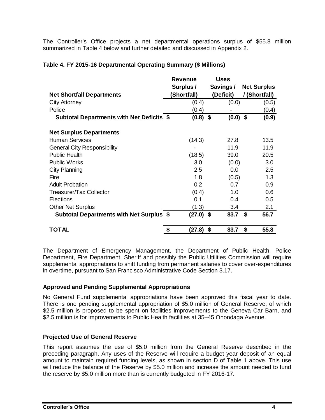The Controller's Office projects a net departmental operations surplus of \$55.8 million summarized in Table 4 below and further detailed and discussed in Appendix 2.

#### **Table 4. FY 2015-16 Departmental Operating Summary (\$ Millions)**

|                                           | <b>Revenue</b> | <b>Uses</b> |                    |
|-------------------------------------------|----------------|-------------|--------------------|
|                                           | Surplus /      | Savings /   | <b>Net Surplus</b> |
| <b>Net Shortfall Departments</b>          | (Shortfall)    | (Deficit)   | / (Shortfall)      |
| <b>City Attorney</b>                      | (0.4)          | (0.0)       | (0.5)              |
| Police                                    | (0.4)          |             | (0.4)              |
| Subtotal Departments with Net Deficits \$ | $(0.8)$ \$     | $(0.0)$ \$  | (0.9)              |
| <b>Net Surplus Departments</b>            |                |             |                    |
| <b>Human Services</b>                     | (14.3)         | 27.8        | 13.5               |
| <b>General City Responsibility</b>        |                | 11.9        | 11.9               |
| <b>Public Health</b>                      | (18.5)         | 39.0        | 20.5               |
| <b>Public Works</b>                       | 3.0            | (0.0)       | 3.0                |
| <b>City Planning</b>                      | 2.5            | 0.0         | 2.5                |
| Fire                                      | 1.8            | (0.5)       | 1.3                |
| <b>Adult Probation</b>                    | 0.2            | 0.7         | 0.9                |
| Treasurer/Tax Collector                   | (0.4)          | 1.0         | 0.6                |
| Elections                                 | 0.1            | 0.4         | 0.5                |
| <b>Other Net Surplus</b>                  | (1.3)          | 3.4         | 2.1                |
| Subtotal Departments with Net Surplus \$  | $(27.0)$ \$    | 83.7        | 56.7<br>- \$       |
| <b>TOTAL</b>                              | \$<br>(27.8)   | \$<br>83.7  | \$<br>55.8         |

The Department of Emergency Management, the Department of Public Health, Police Department, Fire Department, Sheriff and possibly the Public Utilities Commission will require supplemental appropriations to shift funding from permanent salaries to cover over-expenditures in overtime, pursuant to San Francisco Administrative Code Section 3.17.

#### **Approved and Pending Supplemental Appropriations**

No General Fund supplemental appropriations have been approved this fiscal year to date. There is one pending supplemental appropriation of \$5.0 million of General Reserve, of which \$2.5 million is proposed to be spent on facilities improvements to the Geneva Car Barn, and \$2.5 million is for improvements to Public Health facilities at 35–45 Onondaga Avenue.

#### **Projected Use of General Reserve**

This report assumes the use of \$5.0 million from the General Reserve described in the preceding paragraph. Any uses of the Reserve will require a budget year deposit of an equal amount to maintain required funding levels, as shown in section D of Table 1 above. This use will reduce the balance of the Reserve by \$5.0 million and increase the amount needed to fund the reserve by \$5.0 million more than is currently budgeted in FY 2016-17.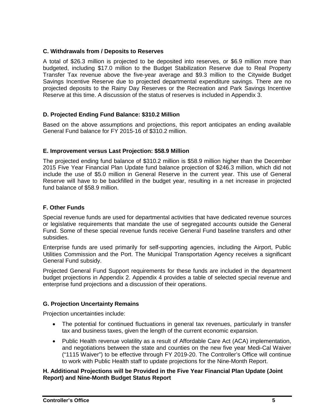#### **C. Withdrawals from / Deposits to Reserves**

A total of \$26.3 million is projected to be deposited into reserves, or \$6.9 million more than budgeted, including \$17.0 million to the Budget Stabilization Reserve due to Real Property Transfer Tax revenue above the five-year average and \$9.3 million to the Citywide Budget Savings Incentive Reserve due to projected departmental expenditure savings. There are no projected deposits to the Rainy Day Reserves or the Recreation and Park Savings Incentive Reserve at this time. A discussion of the status of reserves is included in Appendix 3.

#### **D. Projected Ending Fund Balance: \$310.2 Million**

Based on the above assumptions and projections, this report anticipates an ending available General Fund balance for FY 2015-16 of \$310.2 million.

#### **E. Improvement versus Last Projection: \$58.9 Million**

The projected ending fund balance of \$310.2 million is \$58.9 million higher than the December 2015 Five Year Financial Plan Update fund balance projection of \$246.3 million, which did not include the use of \$5.0 million in General Reserve in the current year. This use of General Reserve will have to be backfilled in the budget year, resulting in a net increase in projected fund balance of \$58.9 million.

#### **F. Other Funds**

Special revenue funds are used for departmental activities that have dedicated revenue sources or legislative requirements that mandate the use of segregated accounts outside the General Fund. Some of these special revenue funds receive General Fund baseline transfers and other subsidies.

Enterprise funds are used primarily for self-supporting agencies, including the Airport, Public Utilities Commission and the Port. The Municipal Transportation Agency receives a significant General Fund subsidy.

Projected General Fund Support requirements for these funds are included in the department budget projections in Appendix 2. Appendix 4 provides a table of selected special revenue and enterprise fund projections and a discussion of their operations.

#### **G. Projection Uncertainty Remains**

Projection uncertainties include:

- The potential for continued fluctuations in general tax revenues, particularly in transfer tax and business taxes, given the length of the current economic expansion.
- Public Health revenue volatility as a result of Affordable Care Act (ACA) implementation, and negotiations between the state and counties on the new five year Medi-Cal Waiver ("1115 Waiver") to be effective through FY 2019-20. The Controller's Office will continue to work with Public Health staff to update projections for the Nine-Month Report.

#### **H. Additional Projections will be Provided in the Five Year Financial Plan Update (Joint Report) and Nine-Month Budget Status Report**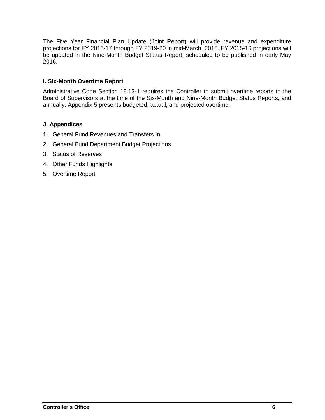The Five Year Financial Plan Update (Joint Report) will provide revenue and expenditure projections for FY 2016-17 through FY 2019-20 in mid-March, 2016. FY 2015-16 projections will be updated in the Nine-Month Budget Status Report, scheduled to be published in early May 2016.

#### **I. Six-Month Overtime Report**

Administrative Code Section 18.13-1 requires the Controller to submit overtime reports to the Board of Supervisors at the time of the Six-Month and Nine-Month Budget Status Reports, and annually. Appendix 5 presents budgeted, actual, and projected overtime.

#### **J. Appendices**

- 1. General Fund Revenues and Transfers In
- 2. General Fund Department Budget Projections
- 3. Status of Reserves
- 4. Other Funds Highlights
- 5. Overtime Report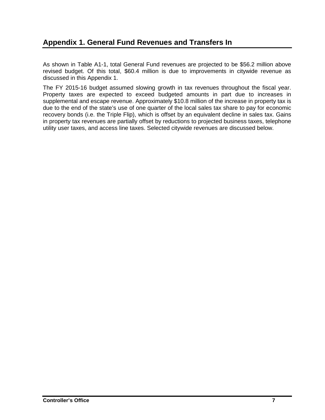### **Appendix 1. General Fund Revenues and Transfers In**

As shown in Table A1-1, total General Fund revenues are projected to be \$56.2 million above revised budget. Of this total, \$60.4 million is due to improvements in citywide revenue as discussed in this Appendix 1.

The FY 2015-16 budget assumed slowing growth in tax revenues throughout the fiscal year. Property taxes are expected to exceed budgeted amounts in part due to increases in supplemental and escape revenue. Approximately \$10.8 million of the increase in property tax is due to the end of the state's use of one quarter of the local sales tax share to pay for economic recovery bonds (i.e. the Triple Flip), which is offset by an equivalent decline in sales tax. Gains in property tax revenues are partially offset by reductions to projected business taxes, telephone utility user taxes, and access line taxes. Selected citywide revenues are discussed below.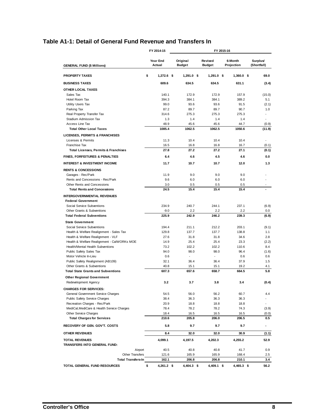#### **Table A1-1: Detail of General Fund Revenue and Transfers In**

|                                                             | FY 2014-15         | FY 2015-16 |                           |  |                          |                       |                         |
|-------------------------------------------------------------|--------------------|------------|---------------------------|--|--------------------------|-----------------------|-------------------------|
| <b>GENERAL FUND (\$ Millions)</b>                           | Year End<br>Actual |            | Original<br><b>Budget</b> |  | Revised<br><b>Budget</b> | 6-Month<br>Projection | Surplus/<br>(Shortfall) |
| <b>PROPERTY TAXES</b>                                       | \$<br>$1.272.6$ \$ |            | $1,291.0$ \$              |  | $1.291.0$ \$             | $1,360.0$ \$          | 69.0                    |
| <b>BUSINESS TAXES</b>                                       | 609.6              |            | 634.5                     |  | 634.5                    | 631.1                 | (3.4)                   |
| OTHER LOCAL TAXES                                           |                    |            |                           |  |                          |                       |                         |
| Sales Tax                                                   | 140.1              |            | 172.9                     |  | 172.9                    | 157.9                 | (15.0)                  |
| Hotel Room Tax                                              | 394.3              |            | 384.1                     |  | 384.1                    | 389.2                 | 5.1                     |
| Utility Users Tax                                           | 99.0               |            | 93.6                      |  | 93.6                     | 91.5                  | (2.1)                   |
| Parking Tax                                                 | 87.2               |            | 89.7                      |  | 89.7                     | 90.7                  | 1.0                     |
| Real Property Transfer Tax                                  | 314.6              |            | 275.3                     |  | 275.3                    | 275.3                 |                         |
| Stadium Admission Tax<br>Access Line Tax                    | 1.3<br>48.9        |            | 1.4<br>45.6               |  | 1.4<br>45.6              | 1.4<br>44.7           | (0.9)                   |
| <b>Total Other Local Taxes</b>                              | 1085.4             |            | 1062.5                    |  | 1062.5                   | 1050.6                | (11.9)                  |
|                                                             |                    |            |                           |  |                          |                       |                         |
| LICENSES, PERMITS & FRANCHISES<br>Licenses & Permits        | 11.3               |            | 10.4                      |  | 10.4                     | 10.4                  |                         |
| Franchise Tax                                               | 16.5               |            | 16.8                      |  | 16.8                     | 16.7                  | (0.1)                   |
| <b>Total Licenses, Permits &amp; Franchises</b>             | 27.8               |            | 27.2                      |  | 27.2                     | 27.1                  | (0.1)                   |
| <b>FINES, FORFEITURES &amp; PENALTIES</b>                   | 6.4                |            | 4.6                       |  | 4.5                      | 4.6                   | 0.0                     |
| <b>INTEREST &amp; INVESTMENT INCOME</b>                     | 11.7               |            | 10.7                      |  | 10.7                     | 12.0                  | 1.3                     |
| <b>RENTS &amp; CONCESSIONS</b>                              |                    |            |                           |  |                          |                       |                         |
| Garages - Rec/Park                                          | 11.9               |            | 9.0                       |  | 9.0                      | 9.0                   |                         |
| Rents and Concessions - Rec/Park                            | 9.6                |            | 6.0                       |  | 6.0                      | 6.0                   |                         |
| Other Rents and Concessions                                 | 3.0                |            | 0.5                       |  | 0.5                      | 0.5                   |                         |
| <b>Total Rents and Concessions</b>                          | 24.5               |            | 15.4                      |  | 15.4                     | 15.4                  |                         |
| INTERGOVERNMENTAL REVENUES                                  |                    |            |                           |  |                          |                       |                         |
| <b>Federal Government</b>                                   |                    |            |                           |  |                          |                       |                         |
| Social Service Subventions                                  | 234.9              |            | 240.7                     |  | 244.1                    | 237.1                 | (6.9)                   |
| Other Grants & Subventions                                  | $-9.0$             |            | 2.2                       |  | 2.2                      | 2.2                   | $0.0\,$                 |
| <b>Total Federal Subventions</b>                            | 225.9              |            | 242.9                     |  | 246.2                    | 239.3                 | (6.9)                   |
| <b>State Government</b>                                     |                    |            |                           |  |                          |                       |                         |
| Social Service Subventions                                  | 194.4              |            | 211.1                     |  | 212.2                    | 203.1                 | (9.1)                   |
| Health & Welfare Realignment - Sales Tax                    | 129.8              |            | 137.7                     |  | 137.7                    | 138.8                 | 1.1                     |
| Health & Welfare Realignment - VLF                          | 27.6               |            | 31.8                      |  | 31.8                     | 34.6                  | 2.8                     |
| Health & Welfare Realignment - CalWORKs MOE                 | 14.9<br>73.2       |            | 25.4<br>102.2             |  | 25.4<br>102.2            | 23.3                  | (2.2)                   |
| Health/Mental Health Subventions<br>Public Safety Sales Tax | 94.0               |            | 98.0                      |  | 98.0                     | 110.6<br>96.4         | 8.4<br>(1.6)            |
| Motor Vehicle In-Lieu                                       | 0.6                |            | ÷,                        |  | $\overline{\phantom{a}}$ | 0.6                   | 0.6                     |
| Public Safety Realignment (AB109)                           | 32.1               |            | 36.4                      |  | 36.4                     | 37.9                  | 1.5                     |
| Other Grants & Subventions                                  | 40.8               |            | 15.1                      |  | 15.1                     | 19.2                  | 4.1                     |
| <b>Total State Grants and Subventions</b>                   | 607.3              |            | 657.6                     |  | 658.7                    | 664.5                 | 5.8                     |
| <b>Other Regional Government</b>                            |                    |            |                           |  |                          |                       |                         |
| Redevelopment Agency                                        | 3.2                |            | 3.7                       |  | 3.8                      | 3.4                   | (0.4)                   |
| <b>CHARGES FOR SERVICES:</b>                                |                    |            |                           |  |                          |                       |                         |
| General Government Service Charges                          | 54.5               |            | 56.0                      |  | 56.2                     | 60.7                  | 4.4                     |
| Public Safety Service Charges                               | 38.4               |            | 36.3                      |  | 36.3                     | 36.3                  |                         |
| Recreation Charges - Rec/Park                               | 20.9               |            | 18.8                      |  | 18.8                     | 18.8                  |                         |
| MediCal, MediCare & Health Service Charges                  | 78.4               |            | 78.2                      |  | 78.2                     | 74.3                  | (3.9)                   |
| <b>Other Service Charges</b>                                | 18.4               |            | 16.5                      |  | 16.5                     | 16.5                  | (0.0)                   |
| <b>Total Charges for Services</b>                           | 210.6              |            | 205.8                     |  | 206.0                    | 206.5                 | 0.5                     |
| RECOVERY OF GEN. GOV'T. COSTS                               | 5.8                |            | 9.7                       |  | 9.7                      | 9.7                   | ۰                       |
| <b>OTHER REVENUES</b>                                       | 8.4                |            | 32.0                      |  | 32.0                     | 30.9                  | (1.1)                   |
| <b>TOTAL REVENUES</b>                                       | 4,099.1            |            | 4,197.5                   |  | 4,202.3                  | 4,255.2               | 52.9                    |
| TRANSFERS INTO GENERAL FUND:                                |                    |            |                           |  |                          |                       |                         |
| Airport                                                     | 40.5               |            | 40.8                      |  | 40.8                     | 41.7                  | 0.9                     |
| <b>Other Transfers</b><br><b>Total Transfers-In</b>         | 121.6<br>162.1     |            | 165.9<br>206.8            |  | 165.9<br>206.8           | 168.4<br>210.1        | 2.5<br>3.4              |
| TOTAL GENERAL FUND RESOURCES                                | \$<br>$4,261.2$ \$ |            | 4,404.3 \$                |  | 4,409.1 \$               | $4,465.3$ \$          | 56.2                    |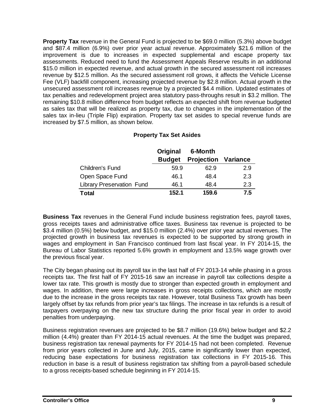**Property Tax** revenue in the General Fund is projected to be \$69.0 million (5.3%) above budget and \$87.4 million (6.9%) over prior year actual revenue. Approximately \$21.6 million of the improvement is due to increases in expected supplemental and escape property tax assessments. Reduced need to fund the Assessment Appeals Reserve results in an additional \$15.0 million in expected revenue, and actual growth in the secured assessment roll increases revenue by \$12.5 million. As the secured assessment roll grows, it affects the Vehicle License Fee (VLF) backfill component, increasing projected revenue by \$2.8 million. Actual growth in the unsecured assessment roll increases revenue by a projected \$4.4 million. Updated estimates of tax penalties and redevelopment project area statutory pass-throughs result in \$3.2 million. The remaining \$10.8 million difference from budget reflects an expected shift from revenue budgeted as sales tax that will be realized as property tax, due to changes in the implementation of the sales tax in-lieu (Triple Flip) expiration. Property tax set asides to special revenue funds are increased by \$7.5 million, as shown below.

|                                  | Original      | 6-Month                    |     |
|----------------------------------|---------------|----------------------------|-----|
|                                  | <b>Budget</b> | <b>Projection Variance</b> |     |
| Children's Fund                  | 59.9          | 62.9                       | 2.9 |
| Open Space Fund                  | 46.1          | 48.4                       | 2.3 |
| <b>Library Preservation Fund</b> | 46.1          | 48.4                       | 2.3 |
| <b>Total</b>                     | 152.1         | 159.6                      | 7.5 |

#### **Property Tax Set Asides**

**Business Tax** revenues in the General Fund include business registration fees, payroll taxes, gross receipts taxes and administrative office taxes. Business tax revenue is projected to be \$3.4 million (0.5%) below budget, and \$15.0 million (2.4%) over prior year actual revenues. The projected growth in business tax revenues is expected to be supported by strong growth in wages and employment in San Francisco continued from last fiscal year. In FY 2014-15, the Bureau of Labor Statistics reported 5.6% growth in employment and 13.5% wage growth over the previous fiscal year.

The City began phasing out its payroll tax in the last half of FY 2013-14 while phasing in a gross receipts tax. The first half of FY 2015-16 saw an increase in payroll tax collections despite a lower tax rate. This growth is mostly due to stronger than expected growth in employment and wages. In addition, there were large increases in gross receipts collections, which are mostly due to the increase in the gross receipts tax rate. However, total Business Tax growth has been largely offset by tax refunds from prior year's tax filings. The increase in tax refunds is a result of taxpayers overpaying on the new tax structure during the prior fiscal year in order to avoid penalties from underpaying.

Business registration revenues are projected to be \$8.7 million (19.6%) below budget and \$2.2 million (4.4%) greater than FY 2014-15 actual revenues. At the time the budget was prepared, business registration tax renewal payments for FY 2014-15 had not been completed. Revenue from prior years collected in June and July, 2015, came in significantly lower than expected, reducing base expectations for business registration tax collections in FY 2015-16. This reduction in base is a result of business registration tax shifting from a payroll-based schedule to a gross receipts-based schedule beginning in FY 2014-15.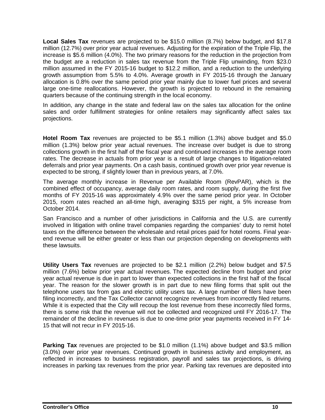**Local Sales Tax** revenues are projected to be \$15.0 million (8.7%) below budget, and \$17.8 million (12.7%) over prior year actual revenues. Adjusting for the expiration of the Triple Flip, the increase is \$5.6 million (4.0%). The two primary reasons for the reduction in the projection from the budget are a reduction in sales tax revenue from the Triple Flip unwinding, from \$23.0 million assumed in the FY 2015-16 budget to \$12.2 million, and a reduction to the underlying growth assumption from 5.5% to 4.0%. Average growth in FY 2015-16 through the January allocation is 0.8% over the same period prior year mainly due to lower fuel prices and several large one-time reallocations. However, the growth is projected to rebound in the remaining quarters because of the continuing strength in the local economy.

In addition, any change in the state and federal law on the sales tax allocation for the online sales and order fulfillment strategies for online retailers may significantly affect sales tax projections.

**Hotel Room Tax** revenues are projected to be \$5.1 million (1.3%) above budget and \$5.0 million (1.3%) below prior year actual revenues. The increase over budget is due to strong collections growth in the first half of the fiscal year and continued increases in the average room rates. The decrease in actuals from prior year is a result of large changes to litigation-related deferrals and prior year payments. On a cash basis, continued growth over prior year revenue is expected to be strong, if slightly lower than in previous years, at 7.0%.

The average monthly increase in Revenue per Available Room (RevPAR), which is the combined effect of occupancy, average daily room rates, and room supply, during the first five months of FY 2015-16 was approximately 4.9% over the same period prior year. In October 2015, room rates reached an all-time high, averaging \$315 per night, a 5% increase from October 2014.

San Francisco and a number of other jurisdictions in California and the U.S. are currently involved in litigation with online travel companies regarding the companies' duty to remit hotel taxes on the difference between the wholesale and retail prices paid for hotel rooms. Final yearend revenue will be either greater or less than our projection depending on developments with these lawsuits.

**Utility Users Tax** revenues are projected to be \$2.1 million (2.2%) below budget and \$7.5 million (7.6%) below prior year actual revenues. The expected decline from budget and prior year actual revenue is due in part to lower than expected collections in the first half of the fiscal year. The reason for the slower growth is in part due to new filing forms that split out the telephone users tax from gas and electric utility users tax. A large number of filers have been filing incorrectly, and the Tax Collector cannot recognize revenues from incorrectly filed returns. While it is expected that the City will recoup the lost revenue from these incorrectly filed forms, there is some risk that the revenue will not be collected and recognized until FY 2016-17. The remainder of the decline in revenues is due to one-time prior year payments received in FY 14- 15 that will not recur in FY 2015-16.

**Parking Tax** revenues are projected to be \$1.0 million (1.1%) above budget and \$3.5 million (3.0%) over prior year revenues. Continued growth in business activity and employment, as reflected in increases to business registration, payroll and sales tax projections, is driving increases in parking tax revenues from the prior year. Parking tax revenues are deposited into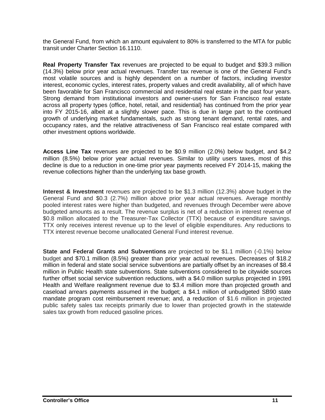the General Fund, from which an amount equivalent to 80% is transferred to the MTA for public transit under Charter Section 16.1110.

**Real Property Transfer Tax** revenues are projected to be equal to budget and \$39.3 million (14.3%) below prior year actual revenues. Transfer tax revenue is one of the General Fund's most volatile sources and is highly dependent on a number of factors, including investor interest, economic cycles, interest rates, property values and credit availability, all of which have been favorable for San Francisco commercial and residential real estate in the past four years. Strong demand from institutional investors and owner-users for San Francisco real estate across all property types (office, hotel, retail, and residential) has continued from the prior year into FY 2015-16, albeit at a slightly slower pace. This is due in large part to the continued growth of underlying market fundamentals, such as strong tenant demand, rental rates, and occupancy rates, and the relative attractiveness of San Francisco real estate compared with other investment options worldwide.

**Access Line Tax** revenues are projected to be \$0.9 million (2.0%) below budget, and \$4.2 million (8.5%) below prior year actual revenues. Similar to utility users taxes, most of this decline is due to a reduction in one-time prior year payments received FY 2014-15, making the revenue collections higher than the underlying tax base growth.

**Interest & Investment** revenues are projected to be \$1.3 million (12.3%) above budget in the General Fund and \$0.3 (2.7%) million above prior year actual revenues. Average monthly pooled interest rates were higher than budgeted, and revenues through December were above budgeted amounts as a result. The revenue surplus is net of a reduction in interest revenue of \$0.8 million allocated to the Treasurer-Tax Collector (TTX) because of expenditure savings. TTX only receives interest revenue up to the level of eligible expenditures. Any reductions to TTX interest revenue become unallocated General Fund interest revenue.

**State and Federal Grants and Subventions** are projected to be \$1.1 million (-0.1%) below budget and \$70.1 million (8.5%) greater than prior year actual revenues. Decreases of \$18.2 million in federal and state social service subventions are partially offset by an increases of \$8.4 million in Public Health state subventions. State subventions considered to be citywide sources further offset social service subvention reductions, with a \$4.0 million surplus projected in 1991 Health and Welfare realignment revenue due to \$3.4 million more than projected growth and caseload arrears payments assumed in the budget; a \$4.1 million of unbudgeted SB90 state mandate program cost reimbursement revenue; and, a reduction of \$1.6 million in projected public safety sales tax receipts primarily due to lower than projected growth in the statewide sales tax growth from reduced gasoline prices.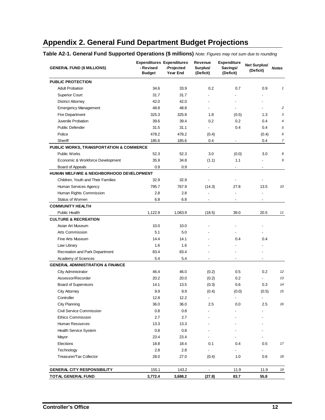# **Appendix 2. General Fund Department Budget Projections**

**Table A2-1. General Fund Supported Operations (\$ millions)** *Note: Figures may not sum due to rounding*

| <b>GENERAL FUND (\$ MILLIONS)</b>           | <b>Expenditures Expenditures</b><br>- Revised<br><b>Budget</b> | -Projected<br>Year End | Revenue<br>Surplus/<br>(Deficit) | <b>Expenditure</b><br>Savings/<br>(Deficit) | <b>Net Surplus/</b><br>(Deficit) | <b>Notes</b>   |
|---------------------------------------------|----------------------------------------------------------------|------------------------|----------------------------------|---------------------------------------------|----------------------------------|----------------|
| <b>PUBLIC PROTECTION</b>                    |                                                                |                        |                                  |                                             |                                  |                |
| <b>Adult Probation</b>                      | 34.6                                                           | 33.9                   | 0.2                              | 0.7                                         | 0.9                              | $\mathbf{1}$   |
| <b>Superior Court</b>                       | 31.7                                                           | 31.7                   |                                  |                                             |                                  |                |
| <b>District Attorney</b>                    | 42.0                                                           | 42.0                   |                                  |                                             |                                  |                |
| <b>Emergency Management</b>                 | 48.8                                                           | 48.8                   |                                  |                                             |                                  | 2              |
| Fire Department                             | 325.3                                                          | 325.8                  | 1.8                              | (0.5)                                       | 1.3                              | 3              |
| Juvenile Probation                          | 39.6                                                           | 39.4                   | 0.2                              | 0.2                                         | 0.4                              | $\overline{4}$ |
| <b>Public Defender</b>                      | 31.5                                                           | 31.1                   |                                  | 0.4                                         | 0.4                              | 5              |
| Police                                      | 478.2                                                          | 478.2                  | (0.4)                            |                                             | (0.4)                            | 6              |
| Sheriff                                     | 185.6                                                          | 185.6                  | 0.4                              | $\overline{a}$                              | 0.4                              | $\overline{7}$ |
| PUBLIC WORKS, TRANSPORTATION & COMMERCE     |                                                                |                        |                                  |                                             |                                  |                |
| <b>Public Works</b>                         | 52.3                                                           | 52.3                   | 3.0                              | (0.0)                                       | 3.0                              | 8              |
| Economic & Workforce Development            | 35.9                                                           | 34.8                   | (1.1)                            | 1.1                                         |                                  | 9              |
| Board of Appeals                            | 0.9                                                            | 0.9                    | $\centering \label{eq:reduced}$  | $\frac{1}{2}$                               | $\overline{a}$                   |                |
| HUMAN WELFARE & NEIGHBORHOOD DEVELOPMENT    |                                                                |                        |                                  |                                             |                                  |                |
| Children, Youth and Their Families          | 32.9                                                           | 32.9                   |                                  |                                             |                                  |                |
| Human Services Agency                       | 795.7                                                          | 767.9                  | (14.3)                           | 27.8                                        | 13.5                             | 10             |
| Human Rights Commission                     | 2.8                                                            | 2.8                    | $\overline{a}$                   | Ĭ.                                          | $\overline{a}$                   |                |
| Status of Women                             | 6.8                                                            | 6.8                    | $\overline{\phantom{a}}$         | $\overline{\phantom{a}}$                    | $\overline{\phantom{a}}$         |                |
| <b>COMMUNITY HEALTH</b>                     |                                                                |                        |                                  |                                             |                                  |                |
| <b>Public Health</b>                        | 1,122.9                                                        | 1,083.9                | (18.5)                           | 39.0                                        | 20.5                             | 11             |
| <b>CULTURE &amp; RECREATION</b>             |                                                                |                        |                                  |                                             |                                  |                |
| Asian Art Museum                            | 10.0                                                           | 10.0                   |                                  |                                             |                                  |                |
| Arts Commission                             | 5.1                                                            | 5.0                    |                                  |                                             |                                  |                |
| Fine Arts Museum                            | 14.4                                                           | 14.1                   |                                  | 0.4                                         | 0.4                              |                |
| Law Library                                 | 1.6                                                            | 1.6                    |                                  |                                             |                                  |                |
| Recreation and Park Department              | 83.4                                                           | 83.4                   |                                  |                                             |                                  |                |
| Academy of Sciences                         | 5.4                                                            | 5.4                    | $\overline{\phantom{a}}$         | $\overline{\phantom{a}}$                    | $\overline{a}$                   |                |
| <b>GENERAL ADMINISTRATION &amp; FINANCE</b> |                                                                |                        |                                  |                                             |                                  |                |
| <b>City Administrator</b>                   | 46.4                                                           | 46.0                   | (0.2)                            | 0.5                                         | 0.2                              | 12             |
| Assessor/Recorder                           | 20.2                                                           | 20.0                   | (0.2)                            | 0.2                                         |                                  | 13             |
| <b>Board of Supervisors</b>                 | 14.1                                                           | 13.5                   | (0.3)                            | 0.6                                         | 0.3                              | 14             |
| <b>City Attorney</b>                        | 9.9                                                            | 9.9                    | (0.4)                            | (0.0)                                       | (0.5)                            | 15             |
| Controller                                  | 12.8                                                           | 12.2                   | $\overline{\phantom{a}}$         | -                                           | $\overline{\phantom{a}}$         |                |
| <b>City Planning</b>                        | 36.0                                                           | 36.0                   | 2.5                              | 0.0                                         | 2.5                              | 16             |
| Civil Service Commission                    | 0.8                                                            | 0.8                    |                                  |                                             |                                  |                |
| <b>Ethics Commission</b>                    | 2.7                                                            | 2.7                    |                                  |                                             |                                  |                |
| Human Resources                             | 13.3                                                           | 13.3                   |                                  |                                             |                                  |                |
| Health Service System                       | 0.8                                                            | 0.8                    |                                  |                                             |                                  |                |
| Mayor                                       | 23.4                                                           | 23.4                   |                                  |                                             |                                  |                |
| Elections                                   | 18.8                                                           | 18.4                   | 0.1                              | 0.4                                         | 0.5                              | 17             |
| Technology                                  | 2.8                                                            | 2.8                    | $\overline{a}$                   |                                             |                                  |                |
| Treasurer/Tax Collector                     | 28.0                                                           | 27.0                   | (0.4)                            | 1.0                                         | 0.6                              | 18             |
| <b>GENERAL CITY RESPONSIBILITY</b>          | 155.1                                                          | 143.2                  | $\overline{\phantom{a}}$         | 11.9                                        | 11.9                             | 19             |
| TOTAL GENERAL FUND                          | 3,772.4                                                        | 3,688.2                | (27.8)                           | 83.7                                        | 55.8                             |                |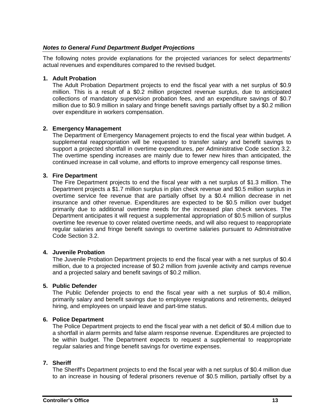#### *Notes to General Fund Department Budget Projections*

The following notes provide explanations for the projected variances for select departments' actual revenues and expenditures compared to the revised budget.

#### **1. Adult Probation**

The Adult Probation Department projects to end the fiscal year with a net surplus of \$0.9 million. This is a result of a \$0.2 million projected revenue surplus, due to anticipated collections of mandatory supervision probation fees, and an expenditure savings of \$0.7 million due to \$0.9 million in salary and fringe benefit savings partially offset by a \$0.2 million over expenditure in workers compensation.

#### **2. Emergency Management**

The Department of Emergency Management projects to end the fiscal year within budget. A supplemental reappropriation will be requested to transfer salary and benefit savings to support a projected shortfall in overtime expenditures, per Administrative Code section 3.2. The overtime spending increases are mainly due to fewer new hires than anticipated, the continued increase in call volume, and efforts to improve emergency call response times.

#### **3. Fire Department**

The Fire Department projects to end the fiscal year with a net surplus of \$1.3 million. The Department projects a \$1.7 million surplus in plan check revenue and \$0.5 million surplus in overtime service fee revenue that are partially offset by a \$0.4 million decrease in net insurance and other revenue. Expenditures are expected to be \$0.5 million over budget primarily due to additional overtime needs for the increased plan check services. The Department anticipates it will request a supplemental appropriation of \$0.5 million of surplus overtime fee revenue to cover related overtime needs, and will also request to reappropriate regular salaries and fringe benefit savings to overtime salaries pursuant to Administrative Code Section 3.2.

#### **4. Juvenile Probation**

The Juvenile Probation Department projects to end the fiscal year with a net surplus of \$0.4 million, due to a projected increase of \$0.2 million from juvenile activity and camps revenue and a projected salary and benefit savings of \$0.2 million.

#### **5. Public Defender**

The Public Defender projects to end the fiscal year with a net surplus of \$0.4 million, primarily salary and benefit savings due to employee resignations and retirements, delayed hiring, and employees on unpaid leave and part-time status.

#### **6. Police Department**

The Police Department projects to end the fiscal year with a net deficit of \$0.4 million due to a shortfall in alarm permits and false alarm response revenue. Expenditures are projected to be within budget. The Department expects to request a supplemental to reappropriate regular salaries and fringe benefit savings for overtime expenses.

#### **7. Sheriff**

The Sheriff's Department projects to end the fiscal year with a net surplus of \$0.4 million due to an increase in housing of federal prisoners revenue of \$0.5 million, partially offset by a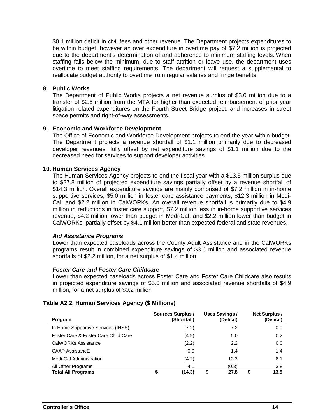\$0.1 million deficit in civil fees and other revenue. The Department projects expenditures to be within budget, however an over expenditure in overtime pay of \$7.2 million is projected due to the department's determination of and adherence to minimum staffing levels. When staffing falls below the minimum, due to staff attrition or leave use, the department uses overtime to meet staffing requirements. The department will request a supplemental to reallocate budget authority to overtime from regular salaries and fringe benefits.

#### **8. Public Works**

The Department of Public Works projects a net revenue surplus of \$3.0 million due to a transfer of \$2.5 million from the MTA for higher than expected reimbursement of prior year litigation related expenditures on the Fourth Street Bridge project, and increases in street space permits and right-of-way assessments.

#### **9. Economic and Workforce Development**

The Office of Economic and Workforce Development projects to end the year within budget. The Department projects a revenue shortfall of \$1.1 million primarily due to decreased developer revenues, fully offset by net expenditure savings of \$1.1 million due to the decreased need for services to support developer activities.

#### **10. Human Services Agency**

The Human Services Agency projects to end the fiscal year with a \$13.5 million surplus due to \$27.8 million of projected expenditure savings partially offset by a revenue shortfall of \$14.3 million. Overall expenditure savings are mainly comprised of \$7.2 million in in-home supportive services, \$5.0 million in foster care assistance payments, \$12.3 million in Medi-Cal, and \$2.2 million in CalWORKs. An overall revenue shortfall is primarily due to \$4.9 million in reductions in foster care support, \$7.2 million less in in-home supportive services revenue, \$4.2 million lower than budget in Medi-Cal, and \$2.2 million lower than budget in CalWORKs, partially offset by \$4.1 million better than expected federal and state revenues.

#### *Aid Assistance Programs*

Lower than expected caseloads across the County Adult Assistance and in the CalWORKs programs result in combined expenditure savings of \$3.6 million and associated revenue shortfalls of \$2.2 million, for a net surplus of \$1.4 million.

#### *Foster Care and Foster Care Childcare*

Lower than expected caseloads across Foster Care and Foster Care Childcare also results in projected expenditure savings of \$5.0 million and associated revenue shortfalls of \$4.9 million, for a net surplus of \$0.2 million

#### **Table A2.2. Human Services Agency (\$ Millions)**

| Program                              | Sources Surplus /<br>(Shortfall) | <b>Uses Savings/</b><br>(Deficit) | <b>Net Surplus /</b><br>(Deficit) |
|--------------------------------------|----------------------------------|-----------------------------------|-----------------------------------|
| In Home Supportive Services (IHSS)   | (7.2)                            | 7.2                               | 0.0                               |
| Foster Care & Foster Care Child Care | (4.9)                            | 5.0                               | 0.2                               |
| CalWORKs Assistance                  | (2.2)                            | 2.2                               | 0.0                               |
| <b>CAAP AssistancE</b>               | 0.0                              | 1.4                               | 1.4                               |
| Medi-Cal Administration              | (4.2)                            | 12.3                              | 8.1                               |
| All Other Programs                   | 4.1                              | (0.3)                             | 3.8                               |
| <b>Total All Programs</b>            | (14.3)                           | 27.8                              | 13.5                              |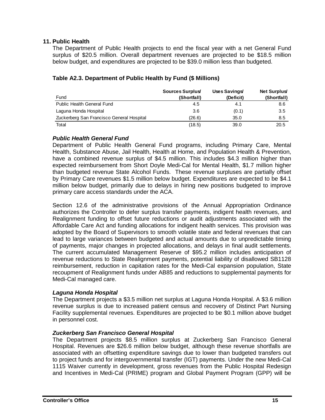#### **11. Public Health**

The Department of Public Health projects to end the fiscal year with a net General Fund surplus of \$20.5 million. Overall department revenues are projected to be \$18.5 million below budget, and expenditures are projected to be \$39.0 million less than budgeted.

| Fund                                      | Sources Surplus<br>(Shortfall) | Uses Savings/<br>(Deficit) | <b>Net Surplus</b><br>(Shortfall) |
|-------------------------------------------|--------------------------------|----------------------------|-----------------------------------|
| <b>Public Health General Fund</b>         | 4.5                            | 4.1                        | 8.6                               |
| Laguna Honda Hospital                     | 3.6                            | (0.1)                      | 3.5                               |
| Zuckerberg San Francisco General Hospital | (26.6)                         | 35.0                       | 8.5                               |
| Total                                     | (18.5)                         | 39.0                       | 20.5                              |

#### **Table A2.3. Department of Public Health by Fund (\$ Millions)**

#### *Public Health General Fund*

Department of Public Health General Fund programs, including Primary Care, Mental Health, Substance Abuse, Jail Health, Health at Home, and Population Health & Prevention, have a combined revenue surplus of \$4.5 million. This includes \$4.3 million higher than expected reimbursement from Short Doyle Medi-Cal for Mental Health, \$1.7 million higher than budgeted revenue State Alcohol Funds. These revenue surpluses are partially offset by Primary Care revenues \$1.5 million below budget. Expenditures are expected to be \$4.1 million below budget, primarily due to delays in hiring new positions budgeted to improve primary care access standards under the ACA.

Section 12.6 of the administrative provisions of the Annual Appropriation Ordinance authorizes the Controller to defer surplus transfer payments, indigent health revenues, and Realignment funding to offset future reductions or audit adjustments associated with the Affordable Care Act and funding allocations for indigent health services. This provision was adopted by the Board of Supervisors to smooth volatile state and federal revenues that can lead to large variances between budgeted and actual amounts due to unpredictable timing of payments, major changes in projected allocations, and delays in final audit settlements. The current accumulated Management Reserve of \$95.2 million includes anticipation of revenue reductions to State Realignment payments, potential liability of disallowed SB1128 reimbursement, reduction in capitation rates for the Medi-Cal expansion population, State recoupment of Realignment funds under AB85 and reductions to supplemental payments for Medi-Cal managed care.

#### *Laguna Honda Hospital*

The Department projects a \$3.5 million net surplus at Laguna Honda Hospital. A \$3.6 million revenue surplus is due to increased patient census and recovery of Distinct Part Nursing Facility supplemental revenues. Expenditures are projected to be \$0.1 million above budget in personnel cost.

#### *Zuckerberg San Francisco General Hospital*

The Department projects \$8.5 million surplus at Zuckerberg San Francisco General Hospital. Revenues are \$26.6 million below budget, although these revenue shortfalls are associated with an offsetting expenditure savings due to lower than budgeted transfers out to project funds and for intergovernmental transfer (IGT) payments. Under the new Medi-Cal 1115 Waiver currently in development, gross revenues from the Public Hospital Redesign and Incentives in Medi-Cal (PRIME) program and Global Payment Program (GPP) will be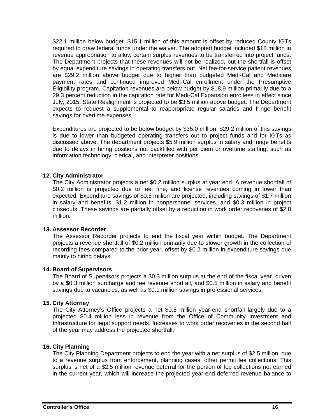\$22.1 million below budget. \$15.1 million of this amount is offset by reduced County IGTs required to draw federal funds under the waiver. The adopted budget included \$18 million in revenue appropriation to allow certain surplus revenues to be transferred into project funds. The Department projects that these revenues will not be realized, but the shortfall is offset by equal expenditure savings in operating transfers out. Net fee-for-service patient revenues are \$29.2 million above budget due to higher than budgeted Medi-Cal and Medicare payment rates and continued improved Medi-Cal enrollment under the Presumptive Eligibility program. Capitation revenues are below budget by \$18.9 million primarily due to a 29.3 percent reduction in the capitation rate for Medi-Cal Expansion enrollees in effect since July, 2015. State Realignment is projected to be \$3.5 million above budget. The Department expects to request a supplemental to reappropriate regular salaries and fringe benefit savings for overtime expenses

Expenditures are projected to be below budget by \$35.0 million. \$29.2 million of this savings is due to lower than budgeted operating transfers out to project funds and for IGTs as discussed above. The department projects \$5.9 million surplus in salary and fringe benefits due to delays in hiring positions not backfilled with per diem or overtime staffing, such as information technology, clerical, and interpreter positions.

#### **12. City Administrator**

The City Administrator projects a net \$0.2 million surplus at year end. A revenue shortfall of \$0.2 million is projected due to fee, fine, and license revenues coming in lower than expected. Expenditure savings of \$0.5 million are projected, including savings of \$1.7 million in salary and benefits, \$1.2 million in nonpersonnel services, and \$0.3 million in project closeouts. These savings are partially offset by a reduction in work order recoveries of \$2.8 million.

#### **13. Assessor Recorder**

The Assessor Recorder projects to end the fiscal year within budget. The Department projects a revenue shortfall of \$0.2 million primarily due to slower growth in the collection of recording fees compared to the prior year, offset by \$0.2 million in expenditure savings due mainly to hiring delays.

#### **14. Board of Supervisors**

The Board of Supervisors projects a \$0.3 million surplus at the end of the fiscal year, driven by a \$0.3 million surcharge and fee revenue shortfall, and \$0.5 million in salary and benefit savings due to vacancies, as well as \$0.1 million savings in professional services.

#### **15. City Attorney**

The City Attorney's Office projects a net \$0.5 million year-end shortfall largely due to a projected \$0.4 million less in revenue from the Office of Community Investment and Infrastructure for legal support needs. Increases to work order recoveries in the second half of the year may address the projected shortfall.

#### **16. City Planning**

The City Planning Department projects to end the year with a net surplus of \$2.5 million, due to a revenue surplus from enforcement, planning cases, other permit fee collections. This surplus is net of a \$2.5 million revenue deferral for the portion of fee collections not earned in the current year, which will increase the projected year-end deferred revenue balance to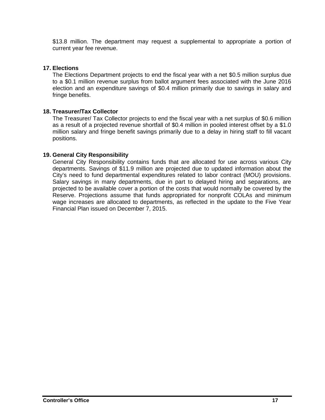\$13.8 million. The department may request a supplemental to appropriate a portion of current year fee revenue.

#### **17. Elections**

The Elections Department projects to end the fiscal year with a net \$0.5 million surplus due to a \$0.1 million revenue surplus from ballot argument fees associated with the June 2016 election and an expenditure savings of \$0.4 million primarily due to savings in salary and fringe benefits.

#### **18. Treasurer/Tax Collector**

The Treasurer/ Tax Collector projects to end the fiscal year with a net surplus of \$0.6 million as a result of a projected revenue shortfall of \$0.4 million in pooled interest offset by a \$1.0 million salary and fringe benefit savings primarily due to a delay in hiring staff to fill vacant positions.

#### **19. General City Responsibility**

General City Responsibility contains funds that are allocated for use across various City departments. Savings of \$11.9 million are projected due to updated information about the City's need to fund departmental expenditures related to labor contract (MOU) provisions. Salary savings in many departments, due in part to delayed hiring and separations, are projected to be available cover a portion of the costs that would normally be covered by the Reserve. Projections assume that funds appropriated for nonprofit COLAs and minimum wage increases are allocated to departments, as reflected in the update to the Five Year Financial Plan issued on December 7, 2015.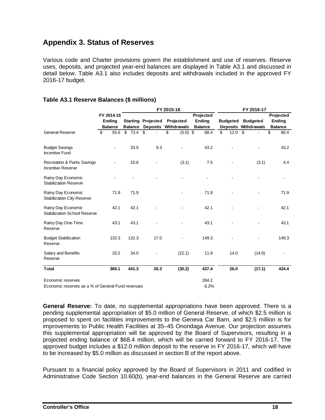### **Appendix 3. Status of Reserves**

Various code and Charter provisions govern the establishment and use of reserves. Reserve uses, deposits, and projected year-end balances are displayed in Table A3.1 and discussed in detail below. Table A3.1 also includes deposits and withdrawals included in the approved FY 2016-17 budget.

|                                                                   |                |                |                           | FY 2015-16       |                |                 | FY 2016-17                  |                |  |
|-------------------------------------------------------------------|----------------|----------------|---------------------------|------------------|----------------|-----------------|-----------------------------|----------------|--|
|                                                                   | FY 2014-15     |                |                           |                  | Projected      |                 |                             | Projected      |  |
|                                                                   | <b>Ending</b>  |                | <b>Starting Projected</b> | Projected        | <b>Ending</b>  | <b>Budgeted</b> | <b>Budgeted</b>             | <b>Ending</b>  |  |
|                                                                   | <b>Balance</b> | <b>Balance</b> | <b>Deposits</b>           | Withdrawals      | <b>Balance</b> |                 | <b>Deposits Withdrawals</b> | <b>Balance</b> |  |
| <b>General Reserve</b>                                            | \$<br>55.6     | \$73.4         | \$                        | \$<br>$(5.0)$ \$ | 68.4           | \$<br>12.0      | \$                          | \$<br>80.4     |  |
| <b>Budget Savings</b><br><b>Incentive Fund</b>                    | ä,             | 33.9           | 9.3                       |                  | 43.2           |                 |                             | 43.2           |  |
| <b>Recreation &amp; Parks Savings</b><br><b>Incentive Reserve</b> |                | 10.6           |                           | (3.1)            | 7.5            |                 | (3.1)                       | 4.4            |  |
| Rainy Day Economic<br><b>Stabilization Reserve</b>                |                |                |                           |                  |                |                 |                             |                |  |
| Rainy Day Economic<br><b>Stabilization City Reserve</b>           | 71.9           | 71.9           |                           |                  | 71.9           |                 |                             | 71.9           |  |
| Rainy Day Economic<br><b>Stabilization School Reserve</b>         | 42.1           | 42.1           |                           |                  | 42.1           |                 |                             | 42.1           |  |
| Rainy Day One-Time<br>Reserve                                     | 43.1           | 43.1           |                           |                  | 43.1           |                 |                             | 43.1           |  |
| <b>Budget Stabilization</b><br>Reserve                            | 132.3          | 132.3          | 17.0                      |                  | 149.3          |                 |                             | 149.3          |  |
| Salary and Benefits<br>Reserve                                    | 20.2           | 34.0           |                           | (22.1)           | 11.9           | 14.0            | (14.0)                      |                |  |
| <b>Total</b>                                                      | 365.1          | 441.3          | 26.3                      | (30.2)           | 437.4          | 26.0            | (17.1)                      | 434.4          |  |
| Economic reserves                                                 |                |                |                           |                  | 264.2          |                 |                             |                |  |
| Economic reserves as a % of General Fund revenues                 |                |                |                           |                  | 6.2%           |                 |                             |                |  |

#### **Table A3.1 Reserve Balances (\$ millions)**

**General Reserve:** To date, no supplemental appropriations have been approved. There is a pending supplemental appropriation of \$5.0 million of General Reserve, of which \$2.5 million is proposed to spent on facilities improvements to the Geneva Car Barn, and \$2.5 million is for improvements to Public Health Facilities at 35–45 Onondaga Avenue. Our projection assumes this supplemental appropriation will be approved by the Board of Supervisors, resulting in a projected ending balance of \$68.4 million, which will be carried forward to FY 2016-17. The approved budget includes a \$12.0 million deposit to the reserve in FY 2016-17, which will have to be increased by \$5.0 million as discussed in section B of the report above.

Pursuant to a financial policy approved by the Board of Supervisors in 2011 and codified in Administrative Code Section 10.60(b), year-end balances in the General Reserve are carried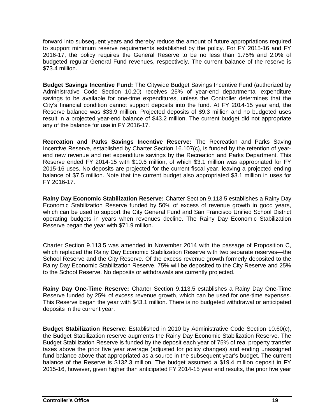forward into subsequent years and thereby reduce the amount of future appropriations required to support minimum reserve requirements established by the policy. For FY 2015-16 and FY 2016-17, the policy requires the General Reserve to be no less than 1.75% and 2.0% of budgeted regular General Fund revenues, respectively. The current balance of the reserve is \$73.4 million.

**Budget Savings Incentive Fund:** The Citywide Budget Savings Incentive Fund (authorized by Administrative Code Section 10.20) receives 25% of year-end departmental expenditure savings to be available for one-time expenditures, unless the Controller determines that the City's financial condition cannot support deposits into the fund. At FY 2014-15 year end, the Reserve balance was \$33.9 million. Projected deposits of \$9.3 million and no budgeted uses result in a projected year-end balance of \$43.2 million. The current budget did not appropriate any of the balance for use in FY 2016-17.

**Recreation and Parks Savings Incentive Reserve:** The Recreation and Parks Saving Incentive Reserve, established by Charter Section 16.107(c), is funded by the retention of yearend new revenue and net expenditure savings by the Recreation and Parks Department. This Reserve ended FY 2014-15 with \$10.6 million, of which \$3.1 million was appropriated for FY 2015-16 uses. No deposits are projected for the current fiscal year, leaving a projected ending balance of \$7.5 million. Note that the current budget also appropriated \$3.1 million in uses for FY 2016-17.

**Rainy Day Economic Stabilization Reserve:** Charter Section 9.113.5 establishes a Rainy Day Economic Stabilization Reserve funded by 50% of excess of revenue growth in good years, which can be used to support the City General Fund and San Francisco Unified School District operating budgets in years when revenues decline. The Rainy Day Economic Stabilization Reserve began the year with \$71.9 million.

Charter Section 9.113.5 was amended in November 2014 with the passage of Proposition C, which replaced the Rainy Day Economic Stabilization Reserve with two separate reserves—the School Reserve and the City Reserve. Of the excess revenue growth formerly deposited to the Rainy Day Economic Stabilization Reserve, 75% will be deposited to the City Reserve and 25% to the School Reserve. No deposits or withdrawals are currently projected.

**Rainy Day One-Time Reserve:** Charter Section 9.113.5 establishes a Rainy Day One-Time Reserve funded by 25% of excess revenue growth, which can be used for one-time expenses. This Reserve began the year with \$43.1 million. There is no budgeted withdrawal or anticipated deposits in the current year.

**Budget Stabilization Reserve**: Established in 2010 by Administrative Code Section 10.60(c), the Budget Stabilization reserve augments the Rainy Day Economic Stabilization Reserve. The Budget Stabilization Reserve is funded by the deposit each year of 75% of real property transfer taxes above the prior five year average (adjusted for policy changes) and ending unassigned fund balance above that appropriated as a source in the subsequent year's budget. The current balance of the Reserve is \$132.3 million. The budget assumed a \$19.4 million deposit in FY 2015-16, however, given higher than anticipated FY 2014-15 year end results, the prior five year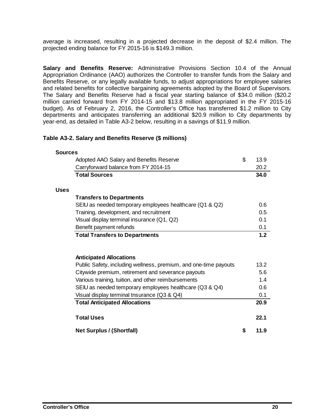average is increased, resulting in a projected decrease in the deposit of \$2.4 million. The projected ending balance for FY 2015-16 is \$149.3 million.

**Salary and Benefits Reserve:** Administrative Provisions Section 10.4 of the Annual Appropriation Ordinance (AAO) authorizes the Controller to transfer funds from the Salary and Benefits Reserve, or any legally available funds, to adjust appropriations for employee salaries and related benefits for collective bargaining agreements adopted by the Board of Supervisors. The Salary and Benefits Reserve had a fiscal year starting balance of \$34.0 million (\$20.2 million carried forward from FY 2014-15 and \$13.8 million appropriated in the FY 2015-16 budget). As of February 2, 2016, the Controller's Office has transferred \$1.2 million to City departments and anticipates transferring an additional \$20.9 million to City departments by year-end, as detailed in Table A3-2 below, resulting in a savings of \$11.9 million.

#### **Table A3-2. Salary and Benefits Reserve (\$ millions)**

|             | Adopted AAO Salary and Benefits Reserve                                                                | \$<br>13.9         |
|-------------|--------------------------------------------------------------------------------------------------------|--------------------|
|             | Carryforward balance from FY 2014-15                                                                   | 20.2               |
|             | <b>Total Sources</b>                                                                                   | 34.0               |
| <b>Uses</b> |                                                                                                        |                    |
|             | <b>Transfers to Departments</b>                                                                        |                    |
|             | SEIU as needed temporary employees healthcare (Q1 & Q2)                                                | 0.6                |
|             | Training, development, and recruitment                                                                 | 0.5                |
|             | Visual display terminal insurance (Q1, Q2)                                                             | 0 <sub>1</sub>     |
|             | Benefit payment refunds                                                                                | 0.1                |
|             | <b>Total Transfers to Departments</b>                                                                  | 1.2                |
|             |                                                                                                        |                    |
|             | <b>Anticipated Allocations</b>                                                                         |                    |
|             | Public Safety, including wellness, premium, and one-time payouts                                       |                    |
|             | Citywide premium, retirement and severance payouts                                                     | 13.2<br>5.6<br>1.4 |
|             | Various training, tuition, and other reimbursements                                                    | 0.6                |
|             | SEIU as needed temporary employees healthcare (Q3 & Q4)<br>Visual display terminal tnsurance (Q3 & Q4) |                    |
|             | <b>Total Anticipated Allocations</b>                                                                   | 0.1<br>20.9        |
|             | <b>Total Uses</b>                                                                                      | 22.1               |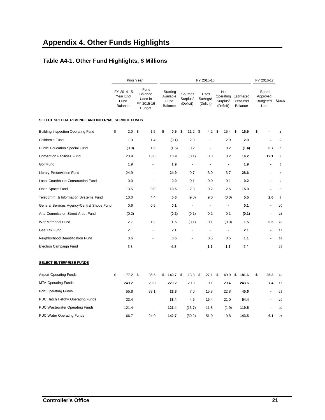# **Appendix 4. Other Funds Highlights**

## **Table A4-1. Other Fund Highlights, \$ Millions**

|                                                   |                                                           |                                                 | FY 2016-17                       |                                     |                                                     |                                                              |                |  |  |  |  |  |  |
|---------------------------------------------------|-----------------------------------------------------------|-------------------------------------------------|----------------------------------|-------------------------------------|-----------------------------------------------------|--------------------------------------------------------------|----------------|--|--|--|--|--|--|
| FY 2014-15<br>Year End<br>Fund<br>Balance         | Fund<br>Balance<br>Used in<br>FY 2015-16<br><b>Budget</b> | Starting<br>Available<br>Fund<br><b>Balance</b> | Sources<br>Surplus/<br>(Deficit) | Uses<br>Savings/<br>(Deficit)       | Net<br>Surplus/<br>Year-end<br>(Deficit)<br>Balance | Board<br>Approved<br><b>Budgeted</b><br>Use                  | Notes          |  |  |  |  |  |  |
| SELECT SPECIAL REVENUE AND INTERNAL SERVICE FUNDS |                                                           |                                                 |                                  |                                     |                                                     |                                                              |                |  |  |  |  |  |  |
| \$<br>2.0                                         | -\$<br>1.5                                                | \$<br>0.5                                       | \$                               |                                     | 15.4<br>- \$<br>15.9                                | \$                                                           | $\mathbf{1}$   |  |  |  |  |  |  |
| 1.3                                               | 1.4                                                       |                                                 | 2.9                              |                                     | 2.9<br>2.9                                          | $\blacksquare$                                               | $\overline{c}$ |  |  |  |  |  |  |
|                                                   | 1.5                                                       |                                                 | 0.2                              | ÷.                                  | 0.2<br>(1.4)                                        | 0.7                                                          | 3              |  |  |  |  |  |  |
| 23.9                                              | 13.0                                                      | 10.9                                            | (0.1)                            | 3.3                                 | 3.2<br>14.2                                         | 12.1                                                         | $\overline{4}$ |  |  |  |  |  |  |
| 1.9                                               | $\overline{\phantom{a}}$                                  | 1.9                                             | $\overline{\phantom{a}}$         | ÷.                                  | 1.9<br>$\overline{\phantom{a}}$                     | $\blacksquare$                                               | 5              |  |  |  |  |  |  |
| 24.9                                              | $\overline{\phantom{a}}$                                  | 24.9                                            | 0.7                              | 3.0                                 | 3.7<br>28.6                                         |                                                              | 6              |  |  |  |  |  |  |
| 0.0                                               | $\overline{\phantom{a}}$                                  | 0.0                                             | 0.1                              | 0.0                                 | 0.1<br>0.2                                          | $\overline{a}$                                               | $\overline{7}$ |  |  |  |  |  |  |
| 13.5                                              | 0.0                                                       | 13.5                                            | 2.3                              | 0.2                                 | 2.5<br>15.9                                         |                                                              | 8              |  |  |  |  |  |  |
| 10.0                                              | 4.4                                                       | 5.6                                             | (9.0)                            | 9.0                                 | 5.5<br>(0.0)                                        | 2.6                                                          | 9              |  |  |  |  |  |  |
| 0.6                                               | 0.5                                                       | 0.1                                             | $\blacksquare$                   | ÷,                                  | 0.1<br>$\overline{\phantom{a}}$                     | $\blacksquare$                                               | 10             |  |  |  |  |  |  |
|                                                   | $\overline{\phantom{a}}$                                  |                                                 | (0.1)                            | 0.2                                 | 0.1<br>(0.1)                                        | $\blacksquare$                                               | 11             |  |  |  |  |  |  |
| 2.7                                               | 1.2                                                       | 1.5                                             | (0.1)                            | 0.1                                 | (0.0)<br>1.5                                        | 0.5                                                          | 12             |  |  |  |  |  |  |
| 2.1                                               |                                                           | 2.1                                             |                                  |                                     | 2.1<br>÷,                                           | $\blacksquare$                                               | 13             |  |  |  |  |  |  |
| 0.6                                               |                                                           | 0.6                                             | ٠                                | 0.5                                 | 0.5<br>1.1                                          | $\blacksquare$                                               | 14             |  |  |  |  |  |  |
| 6.3                                               |                                                           | 6.3                                             |                                  | 1.1                                 | 1.1<br>7.4                                          |                                                              | 15             |  |  |  |  |  |  |
|                                                   |                                                           |                                                 |                                  |                                     |                                                     |                                                              |                |  |  |  |  |  |  |
| \$                                                | 36.5                                                      | \$                                              | 13.8                             | \$                                  | 40.9<br>181.6<br>\$                                 | 35.3<br>\$                                                   | 16             |  |  |  |  |  |  |
| 243.2                                             | 20.0                                                      | 223.2                                           | 20.3                             | 0.1                                 | 20.4<br>243.6                                       | 7.4                                                          | 17             |  |  |  |  |  |  |
| 55.8                                              | 33.1                                                      | 22.8                                            | 7.0                              | 15.8                                | 22.8<br>45.6                                        | $\blacksquare$                                               | 18             |  |  |  |  |  |  |
| 33.4                                              |                                                           | 33.4                                            | 4.6                              | 16.4                                | 21.0<br>54.4                                        | $\overline{\phantom{a}}$                                     | 19             |  |  |  |  |  |  |
| 121.4                                             | $\blacksquare$                                            | 121.4                                           | (13.7)                           | 11.8                                | 119.5<br>(1.9)                                      | $\blacksquare$                                               | 20             |  |  |  |  |  |  |
| 166.7                                             | 24.0                                                      | 142.7                                           | (50.2)                           | 51.0                                | 0.8<br>143.5                                        | 6.1                                                          | 21             |  |  |  |  |  |  |
|                                                   | General Services Agency-Central Shops Fund                | Prior Year<br>(0.0)<br>(0.2)<br>$177.2$ \$      |                                  | (0.1)<br>(1.5)<br>(0.2)<br>140.7 \$ | FY 2015-16<br>11.2 <sup>5</sup>                     | Operating Estimated<br>4.2 <sup>5</sup><br>27.1 <sup>5</sup> |                |  |  |  |  |  |  |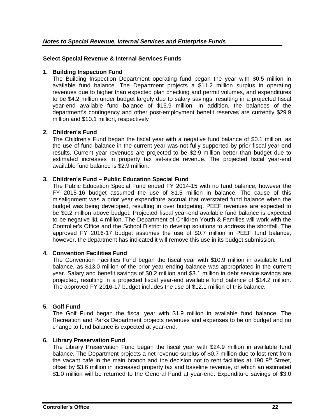#### **Select Special Revenue & Internal Services Funds**

#### **1. Building Inspection Fund**

The Building Inspection Department operating fund began the year with \$0.5 million in available fund balance. The Department projects a \$11.2 million surplus in operating revenues due to higher than expected plan checking and permit volumes, and expenditures to be \$4.2 million under budget largely due to salary savings, resulting in a projected fiscal year-end available fund balance of \$15.9 million. In addition, the balances of the department's contingency and other post-employment benefit reserves are currently \$29.9 million and \$10.1 million, respectively

#### **2. Children's Fund**

The Children's Fund began the fiscal year with a negative fund balance of \$0.1 million, as the use of fund balance in the current year was not fully supported by prior fiscal year end results. Current year revenues are projected to be \$2.9 million better than budget due to estimated increases in property tax set-aside revenue. The projected fiscal year-end available fund balance is \$2.9 million.

#### **3. Children's Fund – Public Education Special Fund**

The Public Education Special Fund ended FY 2014-15 with no fund balance, however the FY 2015-16 budget assumed the use of \$1.5 million in balance. The cause of this misalignment was a prior year expenditure accrual that overstated fund balance when the budget was being developed, resulting in over budgeting. PEEF revenues are expected to be \$0.2 million above budget. Projected fiscal year-end available fund balance is expected to be negative \$1.4 million. The Department of Children Youth & Families will work with the Controller's Office and the School District to develop solutions to address the shortfall. The approved FY 2016-17 budget assumes the use of \$0.7 million in PEEF fund balance, however, the department has indicated it will remove this use in its budget submission.

#### **4. Convention Facilities Fund**

The Convention Facilities Fund began the fiscal year with \$10.9 million in available fund balance, as \$13.0 million of the prior year ending balance was appropriated in the current year. Salary and benefit savings of \$0.2 million and \$3.1 million in debt service savings are projected, resulting in a projected fiscal year-end available fund balance of \$14.2 million. The approved FY 2016-17 budget includes the use of \$12.1 million of this balance.

#### **5. Golf Fund**

The Golf Fund began the fiscal year with \$1.9 million in available fund balance. The Recreation and Parks Department projects revenues and expenses to be on budget and no change to fund balance is expected at year-end.

#### **6. Library Preservation Fund**

The Library Preservation Fund began the fiscal year with \$24.9 million in available fund balance. The Department projects a net revenue surplus of \$0.7 million due to lost rent from the vacant café in the main branch and the decision not to rent facilities at 190  $9<sup>th</sup>$  Street, offset by \$3.6 million in increased property tax and baseline revenue, of which an estimated \$1.0 million will be returned to the General Fund at year-end. Expenditure savings of \$3.0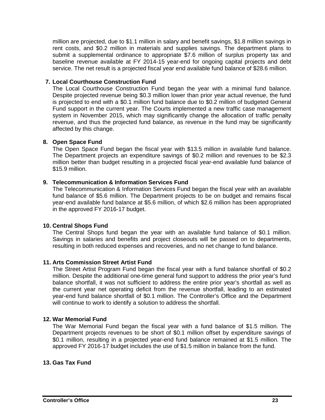million are projected, due to \$1.1 million in salary and benefit savings, \$1.8 million savings in rent costs, and \$0.2 million in materials and supplies savings. The department plans to submit a supplemental ordinance to appropriate \$7.6 million of surplus property tax and baseline revenue available at FY 2014-15 year-end for ongoing capital projects and debt service. The net result is a projected fiscal year end available fund balance of \$28.6 million.

#### **7. Local Courthouse Construction Fund**

The Local Courthouse Construction Fund began the year with a minimal fund balance. Despite projected revenue being \$0.3 million lower than prior year actual revenue, the fund is projected to end with a \$0.1 million fund balance due to \$0.2 million of budgeted General Fund support in the current year. The Courts implemented a new traffic case management system in November 2015, which may significantly change the allocation of traffic penalty revenue, and thus the projected fund balance, as revenue in the fund may be significantly affected by this change.

#### **8. Open Space Fund**

The Open Space Fund began the fiscal year with \$13.5 million in available fund balance. The Department projects an expenditure savings of \$0.2 million and revenues to be \$2.3 million better than budget resulting in a projected fiscal year-end available fund balance of \$15.9 million.

#### **9. Telecommunication & Information Services Fund**

The Telecommunication & Information Services Fund began the fiscal year with an available fund balance of \$5.6 million. The Department projects to be on budget and remains fiscal year-end available fund balance at \$5.6 million, of which \$2.6 million has been appropriated in the approved FY 2016-17 budget.

#### **10. Central Shops Fund**

The Central Shops fund began the year with an available fund balance of \$0.1 million. Savings in salaries and benefits and project closeouts will be passed on to departments, resulting in both reduced expenses and recoveries, and no net change to fund balance.

#### **11. Arts Commission Street Artist Fund**

The Street Artist Program Fund began the fiscal year with a fund balance shortfall of \$0.2 million. Despite the additional one-time general fund support to address the prior year's fund balance shortfall, it was not sufficient to address the entire prior year's shortfall as well as the current year net operating deficit from the revenue shortfall, leading to an estimated year-end fund balance shortfall of \$0.1 million. The Controller's Office and the Department will continue to work to identify a solution to address the shortfall.

#### **12. War Memorial Fund**

The War Memorial Fund began the fiscal year with a fund balance of \$1.5 million. The Department projects revenues to be short of \$0.1 million offset by expenditure savings of \$0.1 million, resulting in a projected year-end fund balance remained at \$1.5 million. The approved FY 2016-17 budget includes the use of \$1.5 million in balance from the fund.

#### **13. Gas Tax Fund**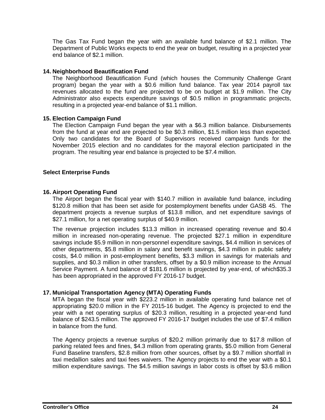The Gas Tax Fund began the year with an available fund balance of \$2.1 million. The Department of Public Works expects to end the year on budget, resulting in a projected year end balance of \$2.1 million.

#### **14. Neighborhood Beautification Fund**

The Neighborhood Beautification Fund (which houses the Community Challenge Grant program) began the year with a \$0.6 million fund balance. Tax year 2014 payroll tax revenues allocated to the fund are projected to be on budget at \$1.9 million. The City Administrator also expects expenditure savings of \$0.5 million in programmatic projects, resulting in a projected year-end balance of \$1.1 million.

#### **15. Election Campaign Fund**

The Election Campaign Fund began the year with a \$6.3 million balance. Disbursements from the fund at year end are projected to be \$0.3 million, \$1.5 million less than expected. Only two candidates for the Board of Supervisors received campaign funds for the November 2015 election and no candidates for the mayoral election participated in the program. The resulting year end balance is projected to be \$7.4 million.

#### **Select Enterprise Funds**

#### **16. Airport Operating Fund**

The Airport began the fiscal year with \$140.7 million in available fund balance, including \$120.8 million that has been set aside for postemployment benefits under GASB 45. The department projects a revenue surplus of \$13.8 million, and net expenditure savings of \$27.1 million, for a net operating surplus of \$40.9 million.

The revenue projection includes \$13.3 million in increased operating revenue and \$0.4 million in increased non-operating revenue. The projected \$27.1 million in expenditure savings include \$5.9 million in non-personnel expenditure savings, \$4.4 million in services of other departments, \$5.8 million in salary and benefit savings, \$4.3 million in public safety costs, \$4.0 million in post-employment benefits, \$3.3 million in savings for materials and supplies, and \$0.3 million in other transfers, offset by a \$0.9 million increase to the Annual Service Payment. A fund balance of \$181.6 million is projected by year-end, of which\$35.3 has been appropriated in the approved FY 2016-17 budget.

#### **17. Municipal Transportation Agency (MTA) Operating Funds**

MTA began the fiscal year with \$223.2 million in available operating fund balance net of appropriating \$20.0 million in the FY 2015-16 budget. The Agency is projected to end the year with a net operating surplus of \$20.3 million, resulting in a projected year-end fund balance of \$243.5 million. The approved FY 2016-17 budget includes the use of \$7.4 million in balance from the fund.

The Agency projects a revenue surplus of \$20.2 million primarily due to \$17.8 million of parking related fees and fines, \$4.3 million from operating grants, \$5.0 million from General Fund Baseline transfers, \$2.8 million from other sources, offset by a \$9.7 million shortfall in taxi medallion sales and taxi fees waivers. The Agency projects to end the year with a \$0.1 million expenditure savings. The \$4.5 million savings in labor costs is offset by \$3.6 million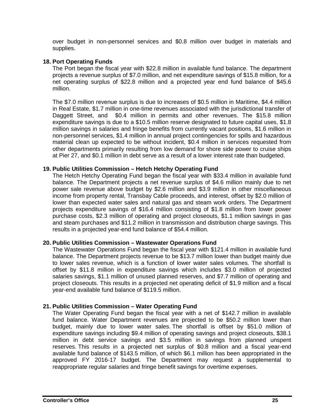over budget in non-personnel services and \$0.8 million over budget in materials and supplies.

#### **18. Port Operating Funds**

The Port began the fiscal year with \$22.8 million in available fund balance. The department projects a revenue surplus of \$7.0 million, and net expenditure savings of \$15.8 million, for a net operating surplus of \$22.8 million and a projected year end fund balance of \$45.6 million.

The \$7.0 million revenue surplus is due to increases of \$0.5 million in Maritime, \$4.4 million in Real Estate, \$1.7 million in one-time revenues associated with the jurisdictional transfer of Daggett Street, and \$0.4 million in permits and other revenues. The \$15.8 million expenditure savings is due to a \$10.5 million reserve designated to future capital uses, \$1.8 million savings in salaries and fringe benefits from currently vacant positions, \$1.6 million in non-personnel services, \$1.4 million in annual project contingencies for spills and hazardous material clean up expected to be without incident, \$0.4 million in services requested from other departments primarily resulting from low demand for shore side power to cruise ships at Pier 27, and \$0.1 million in debt serve as a result of a lower interest rate than budgeted.

#### **19. Public Utilities Commission – Hetch Hetchy Operating Fund**

The Hetch Hetchy Operating Fund began the fiscal year with \$33.4 million in available fund balance. The Department projects a net revenue surplus of \$4.6 million mainly due to net power sale revenue above budget by \$2.6 million and \$3.9 million in other miscellaneous income from property rental, Transbay Cable proceeds, and interest, offset by \$2.0 million of lower than expected water sales and natural gas and steam work orders. The Department projects expenditure savings of \$16.4 million consisting of \$1.8 million from lower power purchase costs, \$2.3 million of operating and project closeouts, \$1.1 million savings in gas and steam purchases and \$11.2 million in transmission and distribution charge savings. This results in a projected year-end fund balance of \$54.4 million.

#### **20. Public Utilities Commission – Wastewater Operations Fund**

The Wastewater Operations Fund began the fiscal year with \$121.4 million in available fund balance. The Department projects revenue to be \$13.7 million lower than budget mainly due to lower sales revenue, which is a function of lower water sales volumes. The shortfall is offset by \$11.8 million in expenditure savings which includes \$3.0 million of projected salaries savings, \$1.1 million of unused planned reserves, and \$7.7 million of operating and project closeouts. This results in a projected net operating deficit of \$1.9 million and a fiscal year-end available fund balance of \$119.5 million.

#### **21. Public Utilities Commission – Water Operating Fund**

The Water Operating Fund began the fiscal year with a net of \$142.7 million in available fund balance. Water Department revenues are projected to be \$50.2 million lower than budget, mainly due to lower water sales. The shortfall is offset by \$51.0 million of expenditure savings including \$9.4 million of operating savings and project closeouts, \$38.1 million in debt service savings and \$3.5 million in savings from planned unspent reserves. This results in a projected net surplus of \$0.8 million and a fiscal year-end available fund balance of \$143.5 million, of which \$6.1 million has been appropriated in the approved FY 2016-17 budget. The Department may request a supplemental to reappropriate regular salaries and fringe benefit savings for overtime expenses.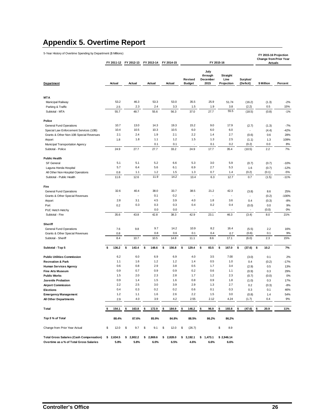# **Appendix 5. Overtime Report**

| 5-Year History of Overtime Spending by Department (\$ Millions)<br>FY 2015-16<br>FY 2011-12<br>FY 2012-13<br>FY 2013-14<br>FY 2014-15 |    |           |    |           |    |         |    |         |    |                          |    |                                     |    |                                | FY 2015-16 Projection<br>Change from Prior Year<br><b>Actuals</b> |                       |    |            |         |
|---------------------------------------------------------------------------------------------------------------------------------------|----|-----------|----|-----------|----|---------|----|---------|----|--------------------------|----|-------------------------------------|----|--------------------------------|-------------------------------------------------------------------|-----------------------|----|------------|---------|
| Department                                                                                                                            |    | Actual    |    | Actual    |    | Actual  |    | Actual  |    | Revised<br><b>Budget</b> |    | July<br>through<br>December<br>2015 |    | Straight<br>Line<br>Projection |                                                                   | Surplus/<br>(Deficit) |    | \$ Million | Percent |
|                                                                                                                                       |    |           |    |           |    |         |    |         |    |                          |    |                                     |    |                                |                                                                   |                       |    |            |         |
| <b>MTA</b>                                                                                                                            |    |           |    |           |    |         |    |         |    |                          |    |                                     |    |                                |                                                                   |                       |    |            |         |
| Municipal Railway                                                                                                                     |    | 53.2      |    | 46.3      |    | 53.3    |    | 53.0    |    | 35.5                     |    | 25.9                                |    | 51.74                          |                                                                   | (16.2)                |    | (1.3)      | $-2%$   |
| Parking & Traffic                                                                                                                     |    | 2.5       |    | 2.3       |    | 2.4     |    | 3.3     |    | 1.5                      |    | 1.9                                 |    | 3.8                            |                                                                   | (2.2)                 |    | 0.5        | 15%     |
| Subtotal - MTA                                                                                                                        |    | 55.7      |    | 48.7      |    | 55.6    |    | 56.3    |    | 37.0                     |    | 27.7                                |    | 55.5                           |                                                                   | (18.5)                |    | (0.8)      | $-1%$   |
|                                                                                                                                       |    |           |    |           |    |         |    |         |    |                          |    |                                     |    |                                |                                                                   |                       |    |            |         |
| Police                                                                                                                                |    |           |    |           |    |         |    |         |    |                          |    |                                     |    |                                |                                                                   |                       |    |            |         |
| <b>General Fund Operations</b>                                                                                                        |    | 10.7      |    | 13.0      |    | 14.3    |    | 19.3    |    | 15.2                     |    | 9.0                                 |    | 17.9                           |                                                                   | (2.7)                 |    | (1.3)      | $-7%$   |
| Special Law Enforcement Services (10B)                                                                                                |    | 10.4      |    | 10.5      |    | 10.3    |    | 10.5    |    | 6.0                      |    | 6.0                                 |    | 6.0                            |                                                                   | ٠                     |    | (4.4)      | $-42%$  |
| Grants & Other Non-10B Special Revenues                                                                                               |    | 2.1       |    | 2.4       |    | 1.9     |    | 2.1     |    | 2.2                      |    | 1.4                                 |    | 2.7                            |                                                                   | (0.6)                 |    | 0.6        | 28%     |
| Airport                                                                                                                               |    | 1.8       |    | 1.8       |    | 1.1     |    | $1.2$   |    | 1.5                      |    | 1.3                                 |    | 2.5                            |                                                                   | (1.1)                 |    | 1.3        | 109%    |
| Municipal Transportation Agency                                                                                                       |    |           |    |           |    | 0.1     |    | 0.1     |    |                          |    | 0.1                                 |    | 0.2                            |                                                                   | (0.2)                 |    | 0.0        | 8%      |
| Subtotal - Police                                                                                                                     |    | 24.9      |    | 27.7      |    | 27.7    |    | 33.2    |    | 24.9                     |    | 17.7                                |    | 35.4                           |                                                                   | (10.5)                |    | 2.2        | 7%      |
| <b>Public Health</b>                                                                                                                  |    |           |    |           |    |         |    |         |    |                          |    |                                     |    |                                |                                                                   |                       |    |            |         |
| <b>SF</b> General                                                                                                                     |    | 5.1       |    | 5.1       |    | 5.2     |    | 6.6     |    | 5.3                      |    | 3.0                                 |    | 5.9                            |                                                                   | (0.7)                 |    | (0.7)      | $-10%$  |
| Laguna Honda Hospital                                                                                                                 |    | 5.7       |    | 6.4       |    | 5.6     |    | 6.1     |    | 6.9                      |    | 2.7                                 |    | 5.3                            |                                                                   | 1.6                   |    | (0.7)      | $-12%$  |
| All Other Non-Hospital Operations                                                                                                     |    | 0.8       |    | 1.1       |    | 1.2     |    | 1.5     |    | 1.3                      |    | 0.7                                 |    | 1.4                            |                                                                   | (0.2)                 |    | (0.1)      | $-5%$   |
| Subtotal - Public Health                                                                                                              |    | 11.6      |    | 12.6      |    | 11.9    |    | 14.2    |    | 13.4                     |    | 6.3                                 |    | 12.7                           |                                                                   | 0.7                   |    | (1.5)      | $-11%$  |
|                                                                                                                                       |    |           |    |           |    |         |    |         |    |                          |    |                                     |    |                                |                                                                   |                       |    |            |         |
| Fire                                                                                                                                  |    | 32.6      |    | 40.4      |    | 38.0    |    | 33.7    |    | 38.5                     |    | 21.2                                |    | 42.3                           |                                                                   |                       |    |            |         |
| <b>General Fund Operations</b>                                                                                                        |    |           |    | ä,        |    | 0.1     |    | 0.2     |    | ä,                       |    | ä                                   |    | ä,                             |                                                                   | (3.8)                 |    | 8.6        | 25%     |
| Grants & Other Special Revenues                                                                                                       |    | 2.8       |    |           |    |         |    | 3.9     |    | 4.0                      |    |                                     |    |                                |                                                                   | ä,                    |    | (0.2)      | $-100%$ |
| Airport                                                                                                                               |    |           |    | 3.1       |    | 4.5     |    |         |    |                          |    | 1.8                                 |    | 3.6                            |                                                                   | 0.4                   |    | (0.3)      | $-8%$   |
| Port                                                                                                                                  |    | 0.2       |    | 0.3       |    | 0.3     |    | 0.3     |    | 0.4                      |    | 0.2                                 |    | 0.4                            |                                                                   | (0.0)                 |    | 0.0        | 9%      |
| PUC Hetch Hetchy                                                                                                                      |    |           |    |           |    | 0.0     |    | 0.0     |    | ł,                       |    |                                     |    |                                |                                                                   |                       |    | (0.0)      | $0\%$   |
| Subtotal - Fire                                                                                                                       |    | 35.6      |    | 43.8      |    | 42.8    |    | 38.3    |    | 42.9                     |    | 23.1                                |    | 46.3                           |                                                                   | (3.4)                 |    | 8.0        | 21%     |
| Sheriff                                                                                                                               |    |           |    |           |    |         |    |         |    |                          |    |                                     |    |                                |                                                                   |                       |    |            |         |
| <b>General Fund Operations</b>                                                                                                        |    | 7.6       |    | 9.8       |    | 9.7     |    | 14.2    |    | 10.9                     |    | 8.2                                 |    | 16.4                           |                                                                   | (5.5)                 |    | 2.2        | 16%     |
| Grants & Other Special Revenues                                                                                                       |    | 0.8       |    |           |    | 0.8     |    | 0.6     |    | 0.1                      |    | 0.4                                 |    | 0.7                            |                                                                   | (0.6)                 |    | 0.1        | 9%      |
| Subtotal - Sheriff                                                                                                                    |    | 8.4       |    | 10.7      |    | 10.5    |    | 14.8    |    | 11.1                     |    | 8.6                                 |    | 17.1                           |                                                                   | (6.0)                 |    | 2.3        | 15%     |
| Subtotal - Top 5                                                                                                                      | \$ | 136.2     | \$ | 143.4     | \$ | 148.6   | \$ | 156.8   | \$ | 129.4                    | \$ | 83.5                                | \$ | 167.0                          | \$                                                                | (37.6)                | \$ | 10.2       | 7%      |
| <b>Public Utilities Commission</b>                                                                                                    |    | 6.2       |    | 6.0       |    | 6.9     |    | 6.9     |    | 4.0                      |    | 3.5                                 |    | 7.00                           |                                                                   | (3.0)                 |    | 0.1        | 2%      |
| <b>Recreation &amp; Park</b>                                                                                                          |    | 1.1       |    | 1.6       |    | 1.2     |    | $1.2$   |    | 1.4                      |    | 0.5                                 |    | 1.0                            |                                                                   | 0.4                   |    | (0.2)      | $-17%$  |
| <b>Human Services Agency</b>                                                                                                          |    | 0.6       |    | 0.8       |    | 2.9     |    | 3.8     |    | 0.5                      |    | 1.7                                 |    | 3.4                            |                                                                   | (2.9)                 |    | 0.5        | 13%     |
| <b>Fine Arts Museum</b>                                                                                                               |    | 0.9       |    | 0.7       |    | 0.9     |    | 0.9     |    | 0.2                      |    | 0.6                                 |    | 1.1                            |                                                                   | (0.9)                 |    | 0.3        | 29%     |
| <b>Public Works</b>                                                                                                                   |    | 1.5       |    | 2.0       |    | 2.3     |    | 2.8     |    | 1.7                      |    | 1.2                                 |    | 2.3                            |                                                                   | (0.7)                 |    | (0.0)      | 0%      |
| Juvenile Probation                                                                                                                    |    | 0.9       |    | 1.4       |    | 1.5     |    | 1.6     |    | 0.8                      |    | 0.9                                 |    | 1.8                            |                                                                   | (1.0)                 |    | 0.3        | 17%     |
| <b>Airport Commission</b>                                                                                                             |    | 2.2       |    | 2.5       |    | 3.0     |    | 3.9     |    | 2.9                      |    | 1.3                                 |    | 2.7                            |                                                                   | 0.2                   |    | (0.3)      | $-8%$   |
| <b>Elections</b>                                                                                                                      |    | 0.4       |    | 0.3       |    | 0.2     |    | 0.2     |    | 0.6                      |    | 0.1                                 |    | 0.3                            |                                                                   | 0.3                   |    | 0.1        | 46%     |
| <b>Emergency Management</b>                                                                                                           |    | $1.2$     |    | 1.1       |    | 1.6     |    | 2.6     |    | 2.2                      |    | 1.5                                 |    | 3.0                            |                                                                   | (0.8)                 |    | 1.4        | 54%     |
| All Other Departments                                                                                                                 |    | 2.9       |    | 4.0       |    | 3.9     |    | 4.2     |    | 2.55                     |    | 2.12                                |    | 4.24                           |                                                                   | (1.7)                 |    | 0.4        | 9%      |
|                                                                                                                                       |    |           |    |           |    |         |    |         |    |                          |    |                                     |    |                                |                                                                   |                       |    |            |         |
| Total                                                                                                                                 | \$ | 154.1     | \$ | 163.8     | \$ | 172.9   | \$ | 184.9   | \$ | 146.2                    | \$ | 96.9                                | \$ | 193.8                          | \$                                                                | (47.6)                | \$ | 20.9       | 11%     |
| Top 5 % of Total                                                                                                                      |    | 88.4%     |    | 87.6%     |    | 85.9%   |    | 84.8%   |    | 88.5%                    |    | 86.2%                               |    | 86.2%                          |                                                                   |                       |    |            |         |
| Change from Prior Year Actual                                                                                                         | \$ | 12.0      | \$ | 9.7       | \$ | 9.1     | \$ | 12.0    | \$ | (26.7)                   |    |                                     | \$ | 8.9                            |                                                                   |                       |    |            |         |
| <b>Total Gross Salaries (Cash Compensation)</b>                                                                                       |    | \$2,634.5 |    | \$2,802.2 | \$ | 2,869.6 | \$ | 2,828.0 | \$ | 3,192.1                  |    | \$1,473.1                           |    | \$2,946.14                     |                                                                   |                       |    |            |         |
| Overtime as a % of Total Gross Salaries                                                                                               |    | 5.8%      |    | 5.8%      |    | 6.0%    |    | 6.5%    |    | 4.6%                     |    | 6.6%                                |    | 6.6%                           |                                                                   |                       |    |            |         |